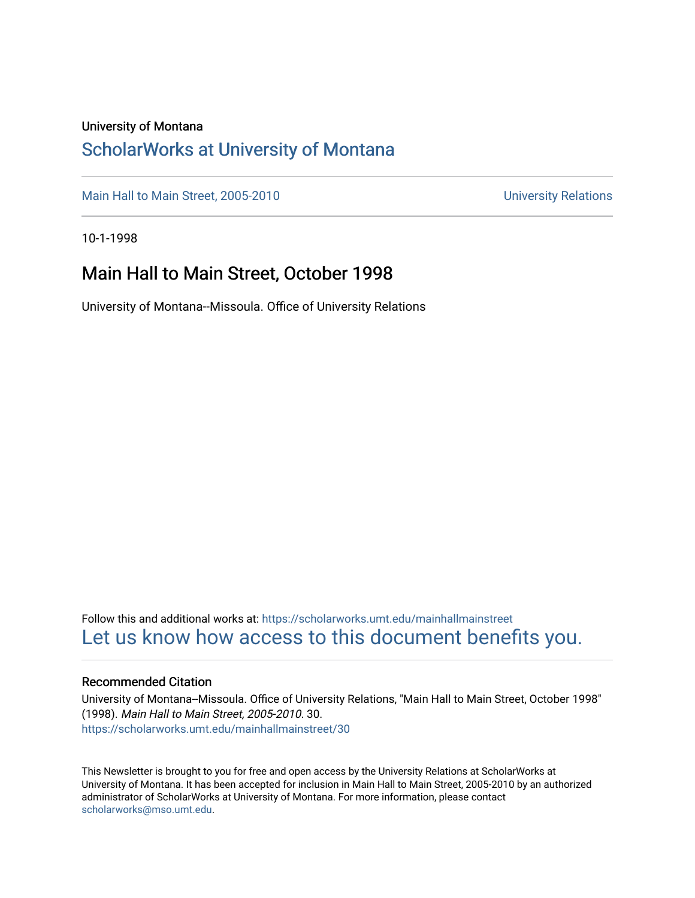#### University of Montana

#### [ScholarWorks at University of Montana](https://scholarworks.umt.edu/)

[Main Hall to Main Street, 2005-2010](https://scholarworks.umt.edu/mainhallmainstreet) Main Hall to Main Street, 2005-2010

10-1-1998

#### Main Hall to Main Street, October 1998

University of Montana--Missoula. Office of University Relations

Follow this and additional works at: [https://scholarworks.umt.edu/mainhallmainstreet](https://scholarworks.umt.edu/mainhallmainstreet?utm_source=scholarworks.umt.edu%2Fmainhallmainstreet%2F30&utm_medium=PDF&utm_campaign=PDFCoverPages) [Let us know how access to this document benefits you.](https://goo.gl/forms/s2rGfXOLzz71qgsB2) 

#### Recommended Citation

University of Montana--Missoula. Office of University Relations, "Main Hall to Main Street, October 1998" (1998). Main Hall to Main Street, 2005-2010. 30. [https://scholarworks.umt.edu/mainhallmainstreet/30](https://scholarworks.umt.edu/mainhallmainstreet/30?utm_source=scholarworks.umt.edu%2Fmainhallmainstreet%2F30&utm_medium=PDF&utm_campaign=PDFCoverPages) 

This Newsletter is brought to you for free and open access by the University Relations at ScholarWorks at University of Montana. It has been accepted for inclusion in Main Hall to Main Street, 2005-2010 by an authorized administrator of ScholarWorks at University of Montana. For more information, please contact [scholarworks@mso.umt.edu.](mailto:scholarworks@mso.umt.edu)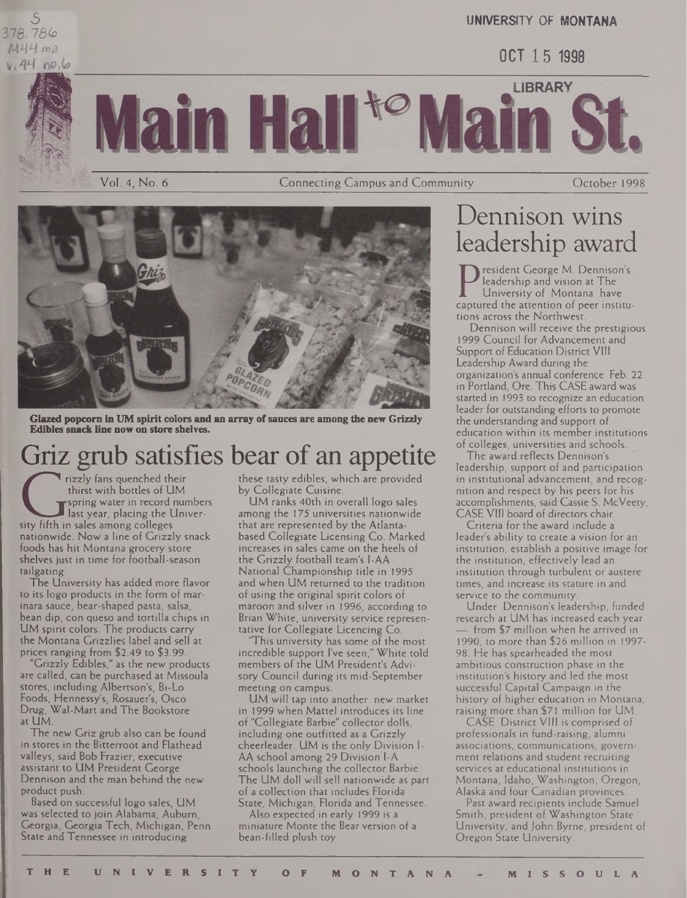5 376,*18(o*  $v.44$  no.6





Vol. 4, No. 6 Connecting Campus and Community October 1998



**Glazed popcorn in UM spirit colors and an array ofsauces are among the new Grizzly Edibles snack line now on store shelves.**

### Griz grub satisfies bear of an appetite

FIGUE BLUE BLUE<br>
Trizzly fans quenched the thirst with bottles of L<br>
The spring water in record<br>
sity fifth in sales among colleges rizzly fans quenched their thirst with bottles of UM spring water in record numbers last year, placing the Univernationwide. Now a line of Grizzly snack foods has hit Montana grocery store shelves just in time for football-season tailgating.

The University has added more flavor to its logo products in the form of marinara sauce, bear-shaped pasta, salsa, bean dip, con queso and tortilla chips in UM spirit colors. The products carry the Montana Grizzlies label and sell at prices ranging from \$2.49 to \$3.99.

"Grizzly Edibles," as the new products are called, can be purchased at Missoula stores, including Albertson's, Bi-Lo Foods, Hennessy's, Rosauer's, Osco Drug, Wai-Mart and The Bookstore at UM.

The new Griz grub also can be found in stores in the Bitterroot and Flathead valleys, said Bob Frazier, executive assistant to UM President George Dennison and the man behind the new product push.

Based on successful logo sales, UM was selected to join Alabama, Auburn, Georgia, Georgia Tech, Michigan, Penn State and Tennessee in introducing

these tasty edibles, which are provided by Collegiate Cuisine.

UM ranks 40th in overall logo sales among the 175 universities nationwide that are represented by the Atlantabased Collegiate Licensing Co. Marked increases in sales came on the heels of the Grizzly football team's I-AA National Championship title in 1995 and when UM returned to the tradition of using the original spirit colors of maroon and silver in 1996, according to Brian White, university service representative for Collegiate Licencing Co.

This university has some of the most incredible support I've seen," White told members of the UM President's Advisory Council during its mid-September meeting on campus.

UM will tap into another new market in 1999 when Mattel introduces its line of "Collegiate Barbie" collector dolls, including one outfitted as a Grizzly cheerleader. UM is the only Division 1- AA school among 29 Division I-A schools launching the collector Barbie. The UM doll will sell nationwide as part of a collection that includes Florida State, Michigan, Florida and Tennessee.

Also expected in early 1999 is a miniature Monte the Bear version of a bean-filled plush toy.

### Dennison wins leadership award

**UNIVERSITY OF MONTANA**

OCT 15 <sup>1998</sup>

President George M. Dennison's leadership and vision at The University of Montana have captured the attention of peer institutions across the Northwest.

Dennison will receive the prestigious 1999 Council for Advancement and Support of Education District VIII Leadership Award during the organization's annual conference Feb. 22 in Portland, Ore. This CASE award was started in 1993 to recognize an education leader for outstanding efforts to promote the understanding and support of education within its member institutions of colleges, universities and schools.

The award reflects Dennison's leadership, support of and participation in institutional advancement, and recognition and respect by his peers for his accomplishments, said Cassie S. McVeety, CASE VIII board of directors chair.

Criteria for the award include a leader's ability to create a vision for an institution, establish a positive image for the institution, effectively lead an institution through turbulent or austere times, and increase its stature in and service to the community.

Linder Dennison's leadership, funded research at UM has increased each year from \$7 million when he arrived in 1990, to more than \$26 million in 1997- 98. He has spearheaded the most ambitious construction phase in the institution's history and led the most successful Capital Campaign in the history of higher education in Montana, raising more than \$71 million for UM.

CASE District VIII is comprised of professionals in fund-raising, alumni associations, communications, government relations and student recruiting services at educational institutions in Montana, Idaho, Washington, Oregon, Alaska and four Canadian provinces.

Past award recipients include Samuel Smith, president of Washington State University, and John Byrne, president of Oregon State University.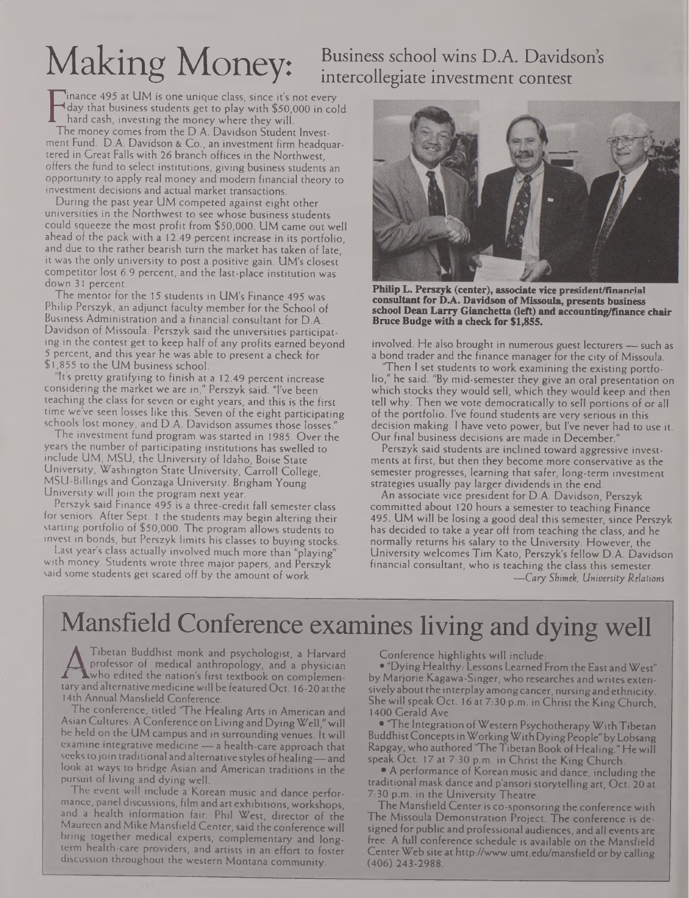# Making Money:

### Business school wins D.A. Davidsons intercollegiate investment contest

Finally that business students get to play with \$50,000 in c<br>
The money comes from the D.A. Davidson Student Invest-<br>
The money comes from the D.A. Davidson Student Investinance 495 at UM is one unique class, since it's not every day that business students get to play with \$50,000 in cold hard cash, investing the money where they will. ment Fund. D.A. Davidson & Co., an investment firm headquartered in Great Falls with *26* branch offices in the Northwest, offers the fund to select institutions, giving business students an opportunity to apply real money and modern financial theory to investment decisions and actual market transactions.

During the past year UM competed against eight other universities in the Northwest to see whose business students could squeeze the most profit from \$50,000. UM came out well ahead of the pack with a 12.49 percent increase in its portfolio, and due to the rather bearish turn the market has taken of late, it was the only university to post a positive gain. UM's closest competitor lost 6.9 percent, and the last-place institution was down 31 percent.

The mentor for the 15 students in UM's Finance 495 was Philip Perszyk, an adjunct faculty member for the School of Business Administration and a financial consultant for D.A. Davidson of Missoula. Perszyk said the universities participating in the contest get to keep half of any profits earned beyond 5 percent, and this year he was able to present a check for \$1,855 to the UM business school.

Its pretty gratifying to finish at a 12.49 percent increase considering the market we are in," Perszyk said. "I've been teaching the class for seven or eight years, and this is the first time we've seen losses like this. Seven of the eight participating schools lost money, and D.A. Davidson assumes those losses."

The investment fund program was started in 1985. Over the years the number of participating institutions has swelled to include UM, MSU, the University of Idaho, Boise State University, Washington State University, Carroll College, MSU-Billings and Gonzaga University. Brigham Young University will join the program next year.

Perszyk said Finance 495 is a three-credit fall semester class for seniors. After Sept. <sup>1</sup> the students may begin altering their starting portfolio of \$50,000. The program allows students to invest in bonds, but Perszyk limits his classes to buying stocks.

Last year's class actually involved much more than "playing" with money. Students wrote three major papers, and Perszyk said some students get scared off by the amount of work



**Philip L. Perszyk (center), associate vice prerident/finanrial consultantfor DA. Davidson ofMissoula, presents business school Dean Larry Gianchetta (left) and accounting/finance chair Bruce Budge with a check for \$1,855.**

involved. He also brought in numerous guest lecturers — such as a bond trader and the finance manager for the city of Missoula.

Then I set students to work examining the existing portfolio," he said. "By mid-semester they give an oral presentation on which stocks they would sell, which they would keep and then tell why. Then we vote democratically to sell portions of or all of the portfolio. I've found students are very serious in this decision making. <sup>1</sup> have veto power, but I've never had to use it. Our final business decisions are made in December."

Perszyk said students are inclined toward aggressive investments at first, but then they become more conservative as the semester progresses, learning that safer, long-term investment strategies usually pay larger dividends in the end.

An associate vice president for D.A. Davidson, Perszyk committed about 120 hours a semester to teaching Finance 495. UM will be losing a good deal this semester, since Perszyk has decided to take a year off from teaching the class, and he normally returns his salary to the University. However, the University welcomes Tim Kato, Perszyk's fellow D.A. Davidson financial consultant, who is teaching the class this semester. *—Cary Shimek, University Relations*

### Mansfield Conference examines living and dying well

Tibetan Buddhist monk and psychologist, a Harvard professor of medical anthropology, and a physician Lwho edited the nation's first textbook on complementary and alternative medicine will be featured Oct. 16-20 at the <sup>1</sup>4th Annual Mansfield Conference.

The conference, titled 'The Healing Arts in American and Asian Cultures: A Conference on Living and DyingWell,"will be held on the UM campus and in surrounding venues. It will examine integrative medicine — a health-care approach that seeks to join traditional and alternative styles of healing—and look at ways to bridge Asian and American traditions in the pursuit of living and dying well.

The event will include a Korean music and dance performance, panel discussions, film and art exhibitions, workshops, and a health information fair. Phil West, director of the Maureen and Mike Mansfield Center, said the conference will bring together medical experts, complementary and longterm health-care providers, and artists in an effort to foster discussion throughout the western Montana community.

Conference highlights will include:

• "Dying Healthy: Lessons Learned From the East andWest" by Marjorie Kagawa-Singer, who researches and writes extensivelyabout the interplay amongcancer, nursingandethnicity. She will speak Oct. 16 at 7:30 p.m. in Christ the King Church, 1400 Gerald Ave.

**• 'The Integration of Western Psychotherapy With Tibetan** BuddhistConceptsinWorkingWithDyingPeople"byLobsang Rapgay, who authored "The Tibetan Book of Healing." He will speak Oct. 17 at 7:30 p.m. in Christ the King Church.

• A performance of Korean music and dance, including the traditional mask dance and p'ansori storytelling art, Oct. 20 at 7:30 p.m. in the University Theatre.

The Mansfield Centeris co-sponsoring the conference with The Missoula Demonstration Project. The conference is designed for public and professional audiences; and all events are free. A full conference schedule is available on the Mansfield CenterWeb site at <http://www.umt.edu/mansfield> or by calling (406) 243-2988.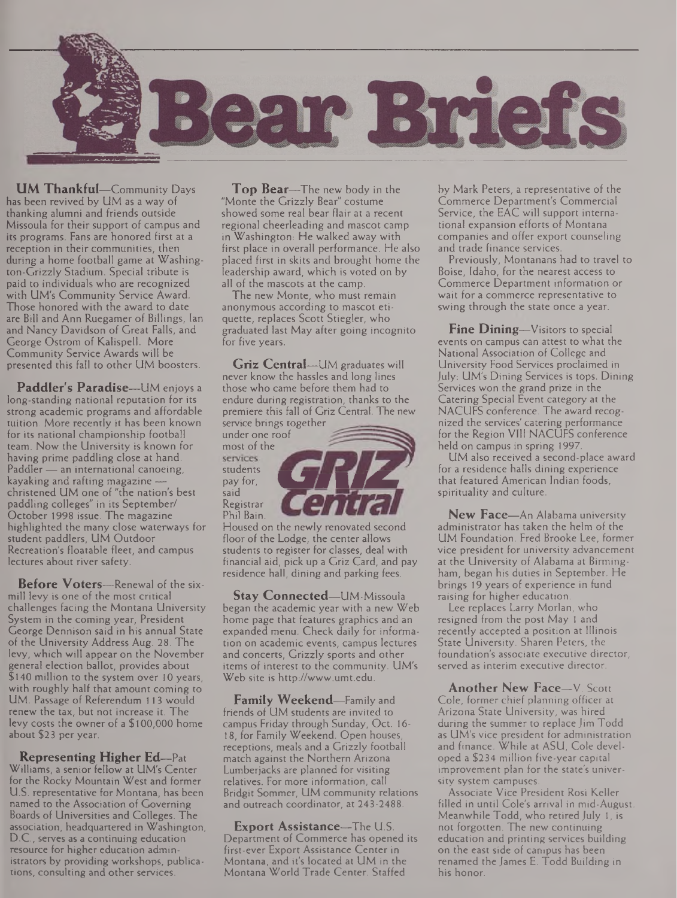

**UM Thankful—**Community Days has been revived by UM as a way of thanking alumni and friends outside Missoula for their support of campus and its programs. Fans are honored first at a reception in their communities, then during a home football game at Washington-Grizzly Stadium. Special tribute is paid to individuals who are recognized with UM's Community Service Award. Those honored with the award to date are Bill and Ann Ruegamer of Billings, lan and Nancy Davidson of Great Falls, and George Ostrom of Kalispell. More Community Service Awards will be presented this fall to other UM boosters.

**Paddler's Paradise—**UM enjoys <sup>a</sup> long-standing national reputation for its strong academic programs and affordable tuition. More recently it has been known for its national championship football team. Now the University is known for having prime paddling close at hand. Paddler — an international canoeing, kayaking and rafting magazine christened UM one of "the nation's best paddling colleges" in its September/ October 1998 issue. The magazine highlighted the many close waterways for student paddlers, UM Outdoor Recreation's floatable fleet, and campus lectures about river safety.

**Before Voters—**Renewal of the sixmill levy is one of the most critical challenges facing the Montana University System in the coming year, President George Dennison said in his annual State of the University Address Aug. 28. The levy, which will appear on the November general election ballot, provides about \$140 million to the system over 10 years, with roughly half that amount coming to UM. Passage of Referendum 113 would renew the tax, but not increase it. The levy costs the owner of a \$100,000 home about \$23 per year.

**Representing Higher Ed—**Pat Williams, a senior fellow at UM's Center for the Rocky Mountain West and former U.S. representative for Montana, has been named to the Association of Governing Boards of Universities and Colleges. The association, headquartered in Washington, D.C., serves as a continuing education resource for higher education administrators by providing workshops, publications, consulting and other services.

**Top Bear—**The new body in the "Monte the Grizzly Bear" costume showed some real bear flair at a recent regional cheerleading and mascot camp in Washington: He walked away with first place in overall performance. He also placed first in skits and brought home the leadership award, which is voted on by all of the mascots at the camp.

The new Monte, who must remain anonymous according to mascot etiquette, replaces Scott Stiegler, who graduated last May after going incognito for five years.

**Griz Central—**UM graduates will never know the hassles and long lines those who came before them had to endure during registration, thanks to the premiere this fall of Griz Central. The new service brings together

under one roof most of the said Registrar Phil Bain.

Housed on the newly renovated second floor of the Lodge, the center allows students to register for classes, deal with financial aid, pick up a Griz Card, and pay residence hall, dining and parking fees.

**Stay Connected—**UM-Missoula began the academic year with a new Web home page that features graphics and an expanded menu. Check daily for information on academic events, campus lectures and concerts, Grizzly sports and other items of interest to the community. UM's Web site is <http://www.umt.edu>.

**Family Weekend—**Family and friends of UM students are invited to campus Friday through Sunday, Oct. 16- 18, for Family Weekend. Open houses, receptions, meals and a Grizzly football match against the Northern Arizona Lumberjacks are planned for visiting relatives. For more information, call Bridgit Sommer, UM community relations and outreach coordinator, at 243-2488.

**Export Assistance—**The U.S. Department of Commerce has opened its first-ever Export Assistance Center in Montana, and it's located at UM in the Montana World Trade Center. Staffed

by Mark Peters, a representative of the Commerce Department's Commercial Service, the EAC will support international expansion efforts of Montana companies and offer export counseling and trade finance services.

Previously, Montanans had to travel to Boise, Idaho, for the nearest access to Commerce Department information or wait for a commerce representative to swing through the state once a year.

**Fine Dining—**Visitors to special events on campus can attest to what the National Association of College and University Food Services proclaimed in July-. UM's Dining Services is tops. Dining Services won the grand prize in the Catering Special Event category at the NACUFS conference. The award recognized the services' catering performance for the Region VIII NACUFS conference held on campus in spring 1997.

UM also received a second-place award for a residence halls dining experience that featured American Indian foods, spirituality and culture.

**New Face—**An Alabama university administrator has taken the helm of the UM Foundation. Fred Brooke Lee, former vice president for university advancement at the University of Alabama at Birmingham, began his duties in September. He brings 19 years of experience in fund raising for higher education.

Lee replaces Larry Morlan, who resigned from the post May <sup>1</sup> and recently accepted a position at Illinois State University. Sharen Peters, the foundation's associate executive director, served as interim executive director.

**Another New Face—**V. Scott Cole, former chief planning officer at Arizona State University, was hired during the summer to replace Jim Todd as UM's vice president for administration and finance. While at ASU, Cole developed a \$234 million five-year capital improvement plan for the state's university system campuses.

Associate Vice President Rosi Keller filled in until Cole's arrival in mid-August. Meanwhile Todd, who retired July 1, is not forgotten. The new continuing education and printing services building on the east side of campus has been renamed the James E. Todd Building in his honor.